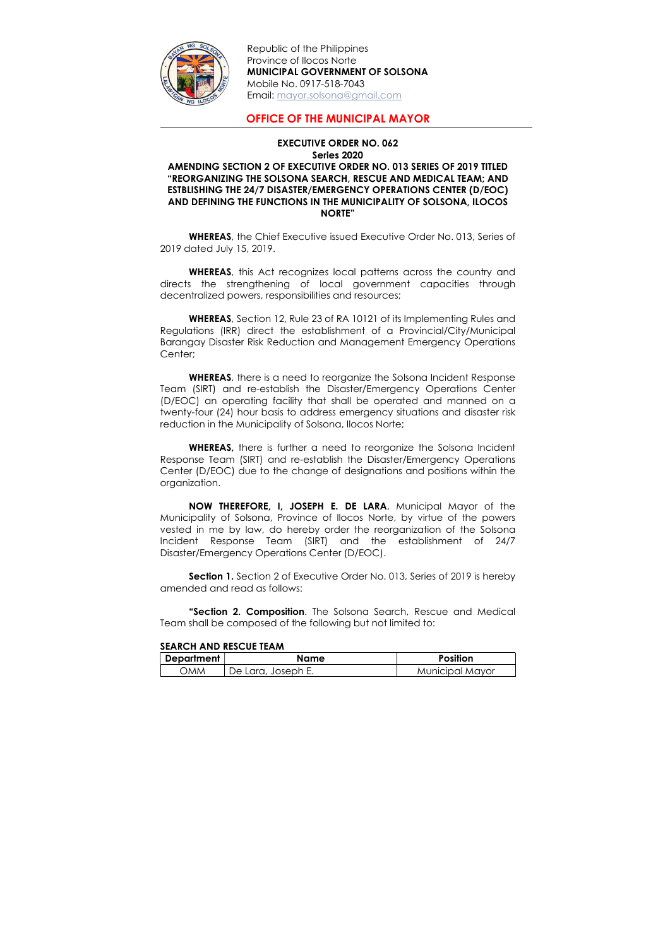

Republic of the Philippines Province of Ilocos Norte MUNICIPAL GOVERNMENT OF SOLSONA Mobile No. 0917-518-7043 Email: mayor.solsona@gmail.com

OFFICE OF THE MUNICIPAL MAYOR

## EXECUTIVE ORDER NO. 062 Series 2020 AMENDING SECTION 2 OF EXECUTIVE ORDER NO. 013 SERIES OF 2019 TITLED "REORGANIZING THE SOLSONA SEARCH, RESCUE AND MEDICAL TEAM; AND ESTBLISHING THE 24/7 DISASTER/EMERGENCY OPERATIONS CENTER (D/EOC) AND DEFINING THE FUNCTIONS IN THE MUNICIPALITY OF SOLSONA, ILOCOS NORTE"

 WHEREAS, the Chief Executive issued Executive Order No. 013, Series of 2019 dated July 15, 2019.

WHEREAS, there is a need to reorganize the Solsona Incident Response Team (SIRT) and re-establish the Disaster/Emergency Operations Center (D/EOC) an operating facility that shall be operated and manned on a twenty-four (24) hour basis to address emergency situations and disaster risk reduction in the Municipality of Solsona, Ilocos Norte;

WHEREAS, this Act recognizes local patterns across the country and directs the strengthening of local government capacities through decentralized powers, responsibilities and resources;

WHEREAS, there is further a need to reorganize the Solsona Incident Response Team (SIRT) and re-establish the Disaster/Emergency Operations Center (D/EOC) due to the change of designations and positions within the organization.

WHEREAS, Section 12, Rule 23 of RA 10121 of its Implementing Rules and Regulations (IRR) direct the establishment of a Provincial/City/Municipal Barangay Disaster Risk Reduction and Management Emergency Operations Center;

**Section 1.** Section 2 of Executive Order No. 013, Series of 2019 is hereby amended and read as follows:

NOW THEREFORE, I, JOSEPH E. DE LARA, Municipal Mayor of the Municipality of Solsona, Province of Ilocos Norte, by virtue of the powers vested in me by law, do hereby order the reorganization of the Solsona Incident Response Team (SIRT) and the establishment of 24/7 Disaster/Emergency Operations Center (D/EOC).

"Section 2. Composition. The Solsona Search, Rescue and Medical Team shall be composed of the following but not limited to:

SEARCH AND RESCUE TEAM

| Department | Name               | <b>Position</b>        |
|------------|--------------------|------------------------|
| ΣМΜ        | De Lara, Joseph E. | <b>Municipal Mayor</b> |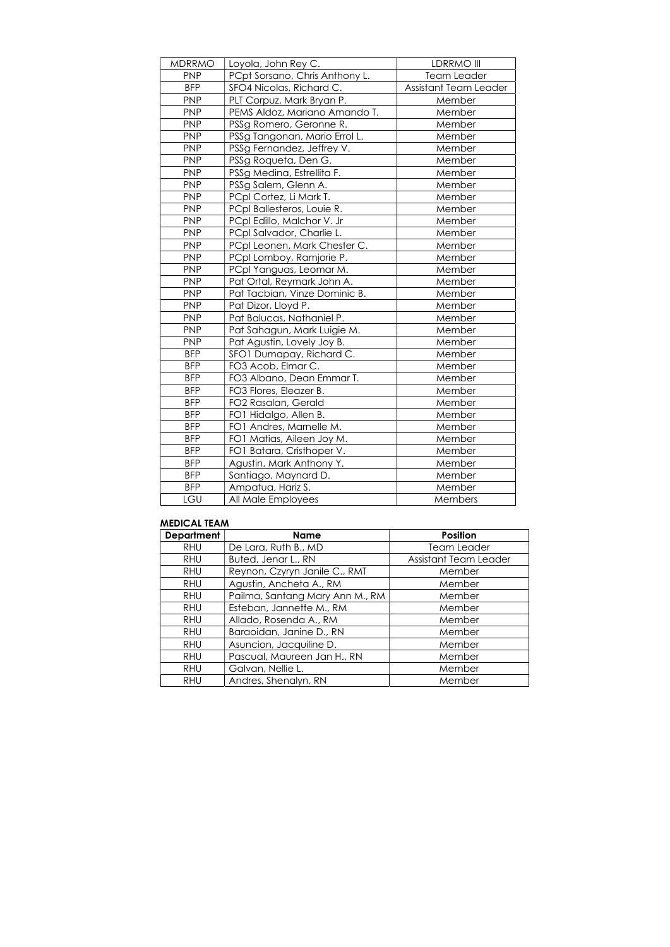| <b>MDRRMO</b> | Loyola, John Rey C.            | LDRRMO III            |
|---------------|--------------------------------|-----------------------|
| <b>PNP</b>    | PCpt Sorsano, Chris Anthony L. | Team Leader           |
| <b>BFP</b>    | SFO4 Nicolas, Richard C.       | Assistant Team Leader |
| <b>PNP</b>    | PLT Corpuz, Mark Bryan P.      | Member                |
| <b>PNP</b>    | PEMS Aldoz, Mariano Amando T.  | Member                |
| <b>PNP</b>    | PSSg Romero, Geronne R.        | Member                |
| <b>PNP</b>    | PSSg Tangonan, Mario Errol L.  | Member                |
| <b>PNP</b>    | PSSg Fernandez, Jeffrey V.     | Member                |
| <b>PNP</b>    | PSSg Roqueta, Den G.           | Member                |
| <b>PNP</b>    | PSSg Medina, Estrellita F.     | Member                |
| <b>PNP</b>    | PSSg Salem, Glenn A.           | Member                |
| <b>PNP</b>    | PCpl Cortez, Li Mark T.        | Member                |
| <b>PNP</b>    | PCpl Ballesteros, Louie R.     | Member                |
| <b>PNP</b>    | PCpl Edillo, Malchor V. Jr     | Member                |
| <b>PNP</b>    | PCpl Salvador, Charlie L.      | Member                |
| <b>PNP</b>    | PCpl Leonen, Mark Chester C.   | Member                |
| <b>PNP</b>    | PCpl Lomboy, Ramjorie P.       | Member                |
| <b>PNP</b>    | PCpl Yanguas, Leomar M.        | Member                |
| <b>PNP</b>    | Pat Ortal, Reymark John A.     | Member                |
| <b>PNP</b>    | Pat Tacbian, Vinze Dominic B.  | Member                |
| <b>PNP</b>    | Pat Dizor, Lloyd P.            | Member                |
| <b>PNP</b>    | Pat Balucas, Nathaniel P.      | Member                |
| <b>PNP</b>    | Pat Sahagun, Mark Luigie M.    | Member                |
| <b>PNP</b>    | Pat Agustin, Lovely Joy B.     | Member                |
| <b>BFP</b>    | SFO1 Dumapay, Richard C.       | Member                |
| <b>BFP</b>    | FO3 Acob, Elmar C.             | Member                |
| <b>BFP</b>    | FO3 Albano, Dean Emmar T.      | Member                |
| <b>BFP</b>    | FO3 Flores, Eleazer B.         | Member                |
| <b>BFP</b>    | FO2 Rasalan, Gerald            | Member                |
| <b>BFP</b>    | FO1 Hidalgo, Allen B.          | Member                |
| <b>BFP</b>    | FO1 Andres, Marnelle M.        | Member                |
| <b>BFP</b>    | FO1 Matias, Aileen Joy M.      | Member                |
| <b>BFP</b>    | FO1 Batara, Cristhoper V.      | Member                |
| <b>BFP</b>    | Agustin, Mark Anthony Y.       | Member                |
| <b>BFP</b>    | Santiago, Maynard D.           | Member                |
| <b>BFP</b>    | Ampatua, Hariz S.              | Member                |
| LGU           | All Male Employees             | Members               |

## MEDICAL TEAM

| <b>Department</b> | <b>Name</b>                     | <b>Position</b>              |
|-------------------|---------------------------------|------------------------------|
| <b>RHU</b>        | De Lara, Ruth B., MD            | <b>Team Leader</b>           |
| <b>RHU</b>        | Buted, Jenar L., RN             | <b>Assistant Team Leader</b> |
| <b>RHU</b>        | Reynon, Czyryn Janile C., RMT   | Member                       |
| <b>RHU</b>        | Agustin, Ancheta A., RM         | Member                       |
| <b>RHU</b>        | Pailma, Santang Mary Ann M., RM | Member                       |
| <b>RHU</b>        | Esteban, Jannette M., RM        | Member                       |
| <b>RHU</b>        | Allado, Rosenda A., RM          | Member                       |
| <b>RHU</b>        | Baraoidan, Janine D., RN        | Member                       |
| <b>RHU</b>        | Asuncion, Jacquiline D.         | Member                       |
| <b>RHU</b>        | Pascual, Maureen Jan H., RN     | Member                       |
| <b>RHU</b>        | Galvan, Nellie L.               | Member                       |
| <b>RHU</b>        | Andres, Shenalyn, RN            | Member                       |